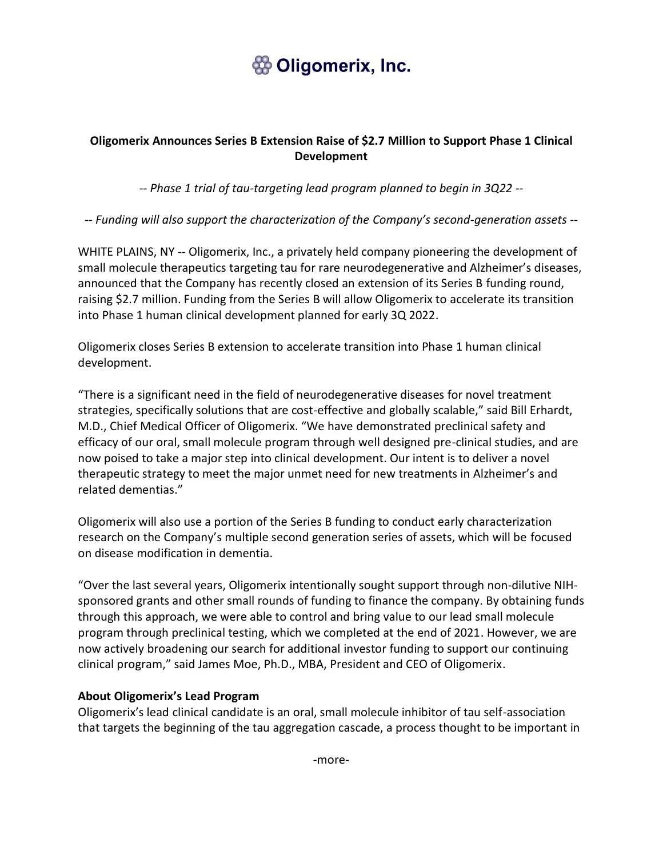# **Soligomerix, Inc.**

### **Oligomerix Announces Series B Extension Raise of \$2.7 Million to Support Phase 1 Clinical Development**

*-- Phase 1 trial of tau-targeting lead program planned to begin in 3Q22 --*

*-- Funding will also support the characterization of the Company's second-generation assets --*

WHITE PLAINS, NY -- Oligomerix, Inc., a privately held company pioneering the development of small molecule therapeutics targeting tau for rare neurodegenerative and Alzheimer's diseases, announced that the Company has recently closed an extension of its Series B funding round, raising \$2.7 million. Funding from the Series B will allow Oligomerix to accelerate its transition into Phase 1 human clinical development planned for early 3Q 2022.

Oligomerix closes Series B extension to accelerate transition into Phase 1 human clinical development.

"There is a significant need in the field of neurodegenerative diseases for novel treatment strategies, specifically solutions that are cost-effective and globally scalable," said Bill Erhardt, M.D., Chief Medical Officer of Oligomerix. "We have demonstrated preclinical safety and efficacy of our oral, small molecule program through well designed pre-clinical studies, and are now poised to take a major step into clinical development. Our intent is to deliver a novel therapeutic strategy to meet the major unmet need for new treatments in Alzheimer's and related dementias."

Oligomerix will also use a portion of the Series B funding to conduct early characterization research on the Company's multiple second generation series of assets, which will be focused on disease modification in dementia.

"Over the last several years, Oligomerix intentionally sought support through non-dilutive NIHsponsored grants and other small rounds of funding to finance the company. By obtaining funds through this approach, we were able to control and bring value to our lead small molecule program through preclinical testing, which we completed at the end of 2021. However, we are now actively broadening our search for additional investor funding to support our continuing clinical program," said James Moe, Ph.D., MBA, President and CEO of Oligomerix.

#### **About Oligomerix's Lead Program**

Oligomerix's lead clinical candidate is an oral, small molecule inhibitor of tau self-association that targets the beginning of the tau aggregation cascade, a process thought to be important in